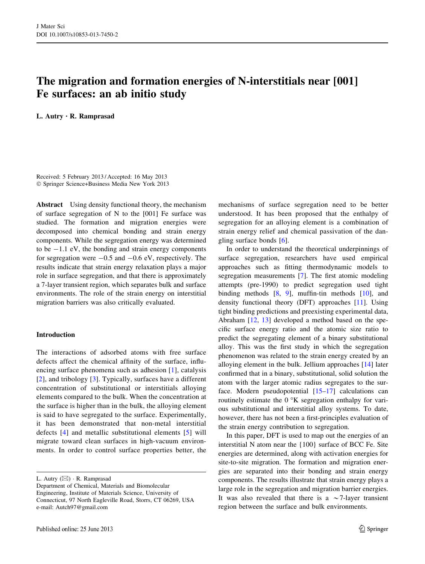# The migration and formation energies of N-interstitials near [001] Fe surfaces: an ab initio study

L. Autry • R. Ramprasad

Received: 5 February 2013 / Accepted: 16 May 2013 - Springer Science+Business Media New York 2013

Abstract Using density functional theory, the mechanism of surface segregation of N to the [001] Fe surface was studied. The formation and migration energies were decomposed into chemical bonding and strain energy components. While the segregation energy was determined to be  $-1.1$  eV, the bonding and strain energy components for segregation were  $-0.5$  and  $-0.6$  eV, respectively. The results indicate that strain energy relaxation plays a major role in surface segregation, and that there is approximately a 7-layer transient region, which separates bulk and surface environments. The role of the strain energy on interstitial migration barriers was also critically evaluated.

# Introduction

The interactions of adsorbed atoms with free surface defects affect the chemical affinity of the surface, influencing surface phenomena such as adhesion [[1\]](#page-6-0), catalysis [\[2\]](#page-6-0), and tribology [[3\]](#page-6-0). Typically, surfaces have a different concentration of substitutional or interstitials alloying elements compared to the bulk. When the concentration at the surface is higher than in the bulk, the alloying element is said to have segregated to the surface. Experimentally, it has been demonstrated that non-metal interstitial defects [[4\]](#page-6-0) and metallic substitutional elements [[5\]](#page-6-0) will migrate toward clean surfaces in high-vacuum environments. In order to control surface properties better, the mechanisms of surface segregation need to be better understood. It has been proposed that the enthalpy of segregation for an alloying element is a combination of strain energy relief and chemical passivation of the dangling surface bonds [[6\]](#page-6-0).

In order to understand the theoretical underpinnings of surface segregation, researchers have used empirical approaches such as fitting thermodynamic models to segregation measurements [[7\]](#page-6-0). The first atomic modeling attempts (pre-1990) to predict segregation used tight binding methods [\[8](#page-6-0), [9](#page-6-0)], muffin-tin methods [[10\]](#page-6-0), and density functional theory (DFT) approaches [[11\]](#page-6-0). Using tight binding predictions and preexisting experimental data, Abraham [[12,](#page-6-0) [13\]](#page-6-0) developed a method based on the specific surface energy ratio and the atomic size ratio to predict the segregating element of a binary substitutional alloy. This was the first study in which the segregation phenomenon was related to the strain energy created by an alloying element in the bulk. Jellium approaches [\[14](#page-6-0)] later confirmed that in a binary, substitutional, solid solution the atom with the larger atomic radius segregates to the surface. Modern pseudopotential  $[15-17]$  calculations can routinely estimate the  $0<sup>o</sup>K$  segregation enthalpy for various substitutional and interstitial alloy systems. To date, however, there has not been a first-principles evaluation of the strain energy contribution to segregation.

In this paper, DFT is used to map out the energies of an interstitial N atom near the {100} surface of BCC Fe. Site energies are determined, along with activation energies for site-to-site migration. The formation and migration energies are separated into their bonding and strain energy components. The results illustrate that strain energy plays a large role in the segregation and migration barrier energies. It was also revealed that there is a  $\sim$ 7-layer transient region between the surface and bulk environments.

L. Autry (⊠) · R. Ramprasad

Department of Chemical, Materials and Biomolecular Engineering, Institute of Materials Science, University of Connecticut, 97 North Eagleville Road, Storrs, CT 06269, USA e-mail: Autch97@gmail.com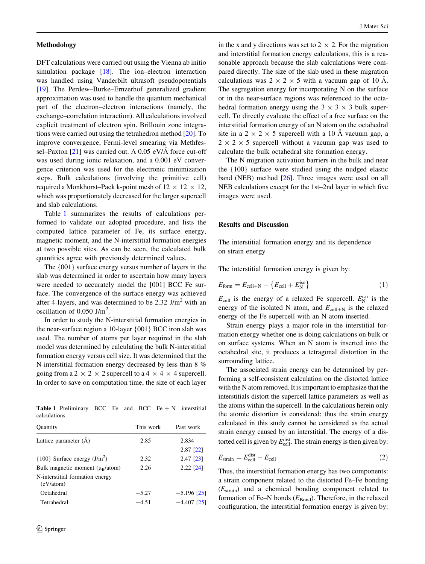#### <span id="page-1-0"></span>Methodology

DFT calculations were carried out using the Vienna ab initio simulation package [[18\]](#page-6-0). The ion–electron interaction was handled using Vanderbilt ultrasoft pseudopotentials [\[19](#page-6-0)]. The Perdew–Burke–Ernzerhof generalized gradient approximation was used to handle the quantum mechanical part of the electron–electron interactions (namely, the exchange–correlation interaction). All calculations involved explicit treatment of electron spin. Brillouin zone integrations were carried out using the tetrahedron method [\[20](#page-6-0)]. To improve convergence, Fermi-level smearing via Methfessel–Paxton  $[21]$  $[21]$  was carried out. A 0.05 eV/ $\AA$  force cut-off was used during ionic relaxation, and a 0.001 eV convergence criterion was used for the electronic minimization steps. Bulk calculations (involving the primitive cell) required a Monkhorst–Pack k-point mesh of  $12 \times 12 \times 12$ , which was proportionately decreased for the larger supercell and slab calculations.

Table 1 summarizes the results of calculations performed to validate our adopted procedure, and lists the computed lattice parameter of Fe, its surface energy, magnetic moment, and the N-interstitial formation energies at two possible sites. As can be seen, the calculated bulk quantities agree with previously determined values.

The {001} surface energy versus number of layers in the slab was determined in order to ascertain how many layers were needed to accurately model the [001] BCC Fe surface. The convergence of the surface energy was achieved after 4-layers, and was determined to be 2.32 J/m<sup>2</sup> with an oscillation of  $0.050$  J/m<sup>2</sup>.

In order to study the N-interstitial formation energies in the near-surface region a 10-layer {001} BCC iron slab was used. The number of atoms per layer required in the slab model was determined by calculating the bulk N-interstitial formation energy versus cell size. It was determined that the N-interstitial formation energy decreased by less than 8 % going from a 2  $\times$  2  $\times$  2 supercell to a 4  $\times$  4  $\times$  4 supercell. In order to save on computation time, the size of each layer

Table 1 Preliminary BCC Fe and BCC Fe  $+ N$  interstitial calculations

| Quantity                                     | This work | Past work            |
|----------------------------------------------|-----------|----------------------|
| Lattice parameter (Å)                        | 2.85      | 2.834<br>$2.87$ [22] |
| $\{100\}$ Surface energy $(J/m^2)$           | 2.32      | 2.47 [23]            |
| Bulk magnetic moment $(\mu_B/atom)$          | 2.26      | $2.22$ [24]          |
| N-interstitial formation energy<br>(eV/atom) |           |                      |
| Octahedral                                   | $-5.27$   | $-5.196$ [25]        |
| Tetrahedral                                  | $-4.51$   | $-4.407$ [25]        |

in the x and y directions was set to  $2 \times 2$ . For the migration and interstitial formation energy calculations, this is a reasonable approach because the slab calculations were compared directly. The size of the slab used in these migration calculations was  $2 \times 2 \times 5$  with a vacuum gap of 10 Å. The segregation energy for incorporating N on the surface or in the near-surface regions was referenced to the octahedral formation energy using the  $3 \times 3 \times 3$  bulk supercell. To directly evaluate the effect of a free surface on the interstitial formation energy of an N atom on the octahedral site in a  $2 \times 2 \times 5$  supercell with a 10 Å vacuum gap, a  $2 \times 2 \times 5$  supercell without a vacuum gap was used to calculate the bulk octahedral site formation energy.

The N migration activation barriers in the bulk and near the {100} surface were studied using the nudged elastic band (NEB) method [[26\]](#page-6-0). Three images were used on all NEB calculations except for the 1st–2nd layer in which five images were used.

## Results and Discussion

The interstitial formation energy and its dependence on strain energy

The interstitial formation energy is given by:

$$
E_{\text{form}} = E_{\text{cell+N}} - \left\{ E_{\text{cell}} + E_{\text{N}}^{\text{iso}} \right\} \tag{1}
$$

 $E_{cell}$  is the energy of a relaxed Fe supercell.  $E_N^{\text{iso}}$  is the energy of the isolated N atom, and  $E_{cell+N}$  is the relaxed energy of the Fe supercell with an N atom inserted.

Strain energy plays a major role in the interstitial formation energy whether one is doing calculations on bulk or on surface systems. When an N atom is inserted into the octahedral site, it produces a tetragonal distortion in the surrounding lattice.

The associated strain energy can be determined by performing a self-consistent calculation on the distorted lattice with the N atom removed. It is important to emphasize that the interstitials distort the supercell lattice parameters as well as the atoms within the supercell. In the calculations herein only the atomic distortion is considered; thus the strain energy calculated in this study cannot be considered as the actual strain energy caused by an interstitial. The energy of a distorted cell is given by  $E_{\text{cell}}^{\text{dist}}$ . The strain energy is then given by:

$$
E_{\text{strain}} = E_{\text{cell}}^{\text{dist}} - E_{\text{cell}} \tag{2}
$$

Thus, the interstitial formation energy has two components: a strain component related to the distorted Fe–Fe bonding  $(E_{\text{strain}})$  and a chemical bonding component related to formation of Fe–N bonds  $(E_{Bond})$ . Therefore, in the relaxed configuration, the interstitial formation energy is given by: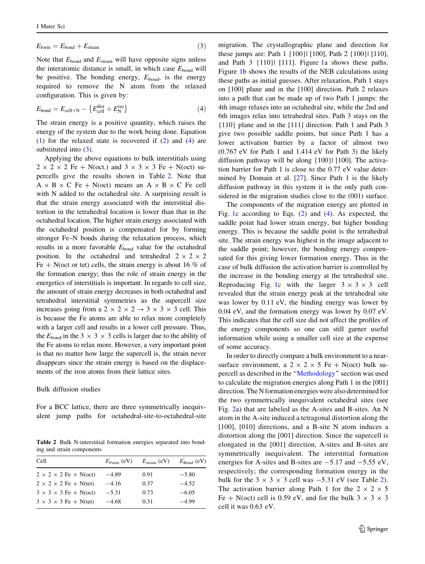<span id="page-2-0"></span>
$$
E_{\text{form}} = E_{\text{bond}} + E_{\text{strain}} \tag{3}
$$

Note that  $E_{\text{bond}}$  and  $E_{\text{strain}}$  will have opposite signs unless the interatomic distance is small, in which case  $E_{\text{bond}}$  will be positive. The bonding energy,  $E_{bond}$ , is the energy required to remove the N atom from the relaxed configuration. This is given by:

$$
E_{\text{bond}} = E_{\text{cell} + \text{N}} - \left\{ E_{\text{cell}}^{\text{dist}} + E_{\text{N}}^{\text{iso}} \right\} \tag{4}
$$

The strain energy is a positive quantity, which raises the energy of the system due to the work being done. Equation [\(1](#page-1-0)) for the relaxed state is recovered if [\(2](#page-1-0)) and (4) are substituted into ([3\)](#page-1-0).

Applying the above equations to bulk interstitials using  $2 \times 2 \times 2$  Fe + N(oct.) and  $3 \times 3 \times 3$  Fe + N(oct) supercells give the results shown in Table 2. Note that  $A \times B \times C$  Fe + N(oct) means an  $A \times B \times C$  Fe cell with N added to the octahedral site. A surprising result is that the strain energy associated with the interstitial distortion in the tetrahedral location is lower than that in the octahedral location. The higher strain energy associated with the octahedral position is compensated for by forming stronger Fe–N bonds during the relaxation process, which results in a more favorable  $E_{\text{bond}}$  value for the octahedral position. In the octahedral and tetrahedral  $2 \times 2 \times 2$ Fe  $+$  N(oct or tet) cells, the strain energy is about 16 % of the formation energy; thus the role of strain energy in the energetics of interstitials is important. In regards to cell size, the amount of strain energy decreases in both octahedral and tetrahedral interstitial symmetries as the supercell size increases going from a 2  $\times$  2  $\times$  2  $\rightarrow$  3  $\times$  3  $\times$  3 cell. This is because the Fe atoms are able to relax more completely with a larger cell and results in a lower cell pressure. Thus, the  $E_{\text{bond}}$  in the 3  $\times$  3  $\times$  3 cells is larger due to the ability of the Fe atoms to relax more. However, a very important point is that no matter how large the supercell is, the strain never disappears since the strain energy is based on the displacements of the iron atoms from their lattice sites.

Bulk diffusion studies

For a BCC lattice, there are three symmetrically inequivalent jump paths for octahedral-site-to-octahedral-site

Table 2 Bulk N-interstitial formation energies separated into bonding and strain components

| Cell                              | $E_{\text{Form}}$ (eV) | $E_{\text{strain}}$ (eV) | $E_{\text{Bond}}$ (eV) |
|-----------------------------------|------------------------|--------------------------|------------------------|
| $2 \times 2 \times 2$ Fe + N(oct) | $-4.89$                | 0.91                     | $-5.80$                |
| $2 \times 2 \times 2$ Fe + N(tet) | $-4.16$                | 0.37                     | $-4.52$                |
| $3 \times 3 \times 3$ Fe + N(oct) | $-5.31$                | 0.73                     | $-6.05$                |
| $3 \times 3 \times 3$ Fe + N(tet) | $-4.68$                | 0.31                     | $-4.99$                |

migration. The crystallographic plane and direction for these jumps are: Path 1 {100}| [100], Path 2 {100}| [110], and Path 3 {110}| [111]. Figure [1a](#page-3-0) shows these paths. Figure [1](#page-3-0)b shows the results of the NEB calculations using these paths as initial guesses. After relaxation, Path 1 stays on [100] plane and in the [100] direction. Path 2 relaxes into a path that can be made up of two Path 1 jumps: the 4th image relaxes into an octahedral site, while the 2nd and 6th images relax into tetrahedral sites. Path 3 stays on the {110} plane and in the [111] direction. Path 1 and Path 3 give two possible saddle points, but since Path 1 has a lower activation barrier by a factor of almost two (0.767 eV for Path 1 and 1.414 eV for Path 3) the likely diffusion pathway will be along {100}| [100]. The activation barrier for Path 1 is close to the 0.77 eV value determined by Domain et al. [[27\]](#page-6-0). Since Path 1 is the likely diffusion pathway in this system it is the only path considered in the migration studies close to the (001) surface.

The components of the migration energy are plotted in Fig. [1](#page-3-0)c according to Eqs. ([2\)](#page-1-0) and (4). As expected, the saddle point had lower strain energy, but higher bonding energy. This is because the saddle point is the tetrahedral site. The strain energy was highest in the image adjacent to the saddle point; however, the bonding energy compensated for this giving lower formation energy. Thus in the case of bulk diffusion the activation barrier is controlled by the increase in the bonding energy at the tetrahedral site. Reproducing Fig. [1c](#page-3-0) with the larger  $3 \times 3 \times 3$  cell revealed that the strain energy peak at the tetrahedral site was lower by 0.11 eV, the binding energy was lower by 0.04 eV, and the formation energy was lower by 0.07 eV. This indicates that the cell size did not affect the profiles of the energy components so one can still garner useful information while using a smaller cell size at the expense of some accuracy.

In order to directly compare a bulk environment to a nearsurface environment, a  $2 \times 2 \times 5$  Fe + N(oct) bulk supercell as described in the '['Methodology](#page-1-0)'' section was used to calculate the migration energies along Path 1 in the [001] direction. The N formation energies were also determined for the two symmetrically inequivalent octahedral sites (see Fig. [2a](#page-4-0)) that are labeled as the A-sites and B-sites. An N atom in the A-site induced a tetragonal distortion along the [100], [010] directions, and a B-site N atom induces a distortion along the [001] direction. Since the supercell is elongated in the [001] direction, A-sites and B-sites are symmetrically inequivalent. The interstitial formation energies for A-sites and B-sites are  $-5.17$  and  $-5.55$  eV, respectively; the corresponding formation energy in the bulk for the  $3 \times 3 \times 3$  cell was  $-5.31$  eV (see Table 2). The activation barrier along Path 1 for the  $2 \times 2 \times 5$ Fe + N(oct) cell is 0.59 eV, and for the bulk  $3 \times 3 \times 3$ cell it was 0.63 eV.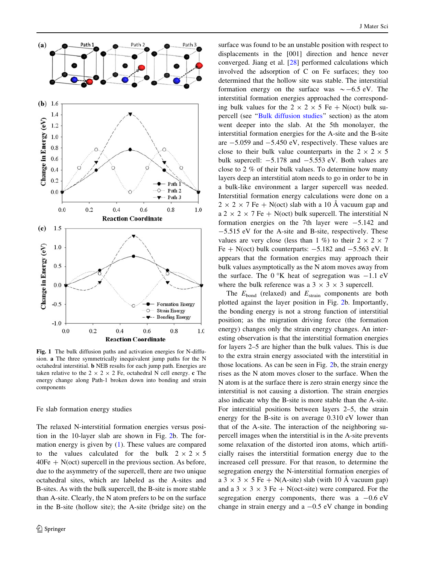<span id="page-3-0"></span>

Fig. 1 The bulk diffusion paths and activation energies for N-diffusion. a The three symmetrically inequivalent jump paths for the N octahedral interstitial. b NEB results for each jump path. Energies are taken relative to the  $2 \times 2 \times 2$  Fe, octahedral N cell energy. c The energy change along Path-1 broken down into bonding and strain components

#### Fe slab formation energy studies

The relaxed N-interstitial formation energies versus position in the 10-layer slab are shown in Fig. [2](#page-4-0)b. The formation energy is given by [\(1](#page-1-0)). These values are compared to the values calculated for the bulk  $2 \times 2 \times 5$  $40Fe + N(\text{oct})$  supercell in the previous section. As before, due to the asymmetry of the supercell, there are two unique octahedral sites, which are labeled as the A-sites and B-sites. As with the bulk supercell, the B-site is more stable than A-site. Clearly, the N atom prefers to be on the surface in the B-site (hollow site); the A-site (bridge site) on the

surface was found to be an unstable position with respect to displacements in the [001] direction and hence never converged. Jiang et al. [\[28](#page-6-0)] performed calculations which involved the adsorption of C on Fe surfaces; they too determined that the hollow site was stable. The interstitial formation energy on the surface was  $\sim -6.5$  eV. The interstitial formation energies approached the corresponding bulk values for the  $2 \times 2 \times 5$  Fe + N(oct) bulk supercell (see '['Bulk diffusion studies](#page-2-0)'' section) as the atom went deeper into the slab. At the 5th monolayer, the interstitial formation energies for the A-site and the B-site are  $-5.059$  and  $-5.450$  eV, respectively. These values are close to their bulk value counterparts in the  $2 \times 2 \times 5$ bulk supercell:  $-5.178$  and  $-5.553$  eV. Both values are close to 2 % of their bulk values. To determine how many layers deep an interstitial atom needs to go in order to be in a bulk-like environment a larger supercell was needed. Interstitial formation energy calculations were done on a  $2 \times 2 \times 7$  Fe + N(oct) slab with a 10 Å vacuum gap and  $a$  2  $\times$  2  $\times$  7 Fe + N(oct) bulk supercell. The interstitial N formation energies on the 7th layer were  $-5.142$  and  $-5.515$  eV for the A-site and B-site, respectively. These values are very close (less than 1 %) to their  $2 \times 2 \times 7$ Fe  $+$  N(oct) bulk counterparts:  $-5.182$  and  $-5.563$  eV. It appears that the formation energies may approach their bulk values asymptotically as the N atom moves away from the surface. The  $0^{\circ}$ K heat of segregation was  $-1.1$  eV where the bulk reference was a  $3 \times 3 \times 3$  supercell.

The  $E_{bond}$  (relaxed) and  $E_{strain}$  components are both plotted against the layer position in Fig. [2b](#page-4-0). Importantly, the bonding energy is not a strong function of interstitial position; as the migration driving force (the formation energy) changes only the strain energy changes. An interesting observation is that the interstitial formation energies for layers 2–5 are higher than the bulk values. This is due to the extra strain energy associated with the interstitial in those locations. As can be seen in Fig. [2](#page-4-0)b, the strain energy rises as the N atom moves closer to the surface. When the N atom is at the surface there is zero strain energy since the interstitial is not causing a distortion. The strain energies also indicate why the B-site is more stable than the A-site. For interstitial positions between layers 2–5, the strain energy for the B-site is on average 0.310 eV lower than that of the A-site. The interaction of the neighboring supercell images when the interstitial is in the A-site prevents some relaxation of the distorted iron atoms, which artificially raises the interstitial formation energy due to the increased cell pressure. For that reason, to determine the segregation energy the N-interstitial formation energies of a 3  $\times$  3  $\times$  5 Fe + N(A-site) slab (with 10 Å vacuum gap) and a 3  $\times$  3  $\times$  3 Fe + N(oct-site) were compared. For the segregation energy components, there was a  $-0.6$  eV change in strain energy and a  $-0.5$  eV change in bonding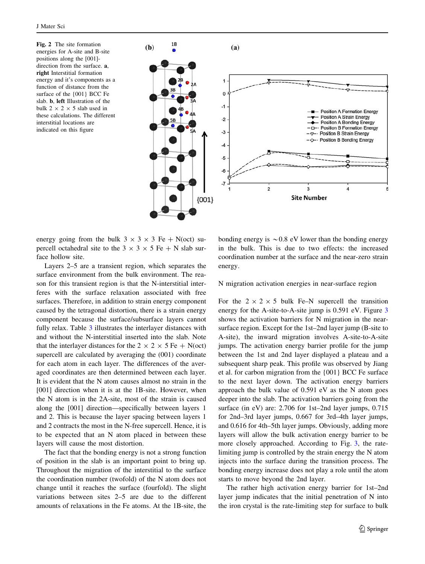<span id="page-4-0"></span>Fig. 2 The site formation energies for A-site and B-site positions along the [001] direction from the surface. **a**, right Interstitial formation energy and it's components as a function of distance from the surface of the {001} BCC Fe slab. b, left Illustration of the bulk 2  $\times$  2  $\times$  5 slab used in these calculations. The different interstitial locations are indicated on this figure



energy going from the bulk  $3 \times 3 \times 3$  Fe + N(oct) supercell octahedral site to the  $3 \times 3 \times 5$  Fe + N slab surface hollow site.

Layers 2–5 are a transient region, which separates the surface environment from the bulk environment. The reason for this transient region is that the N-interstitial interferes with the surface relaxation associated with free surfaces. Therefore, in addition to strain energy component caused by the tetragonal distortion, there is a strain energy component because the surface/subsurface layers cannot fully relax. Table [3](#page-5-0) illustrates the interlayer distances with and without the N-interstitial inserted into the slab. Note that the interlayer distances for the  $2 \times 2 \times 5$  Fe + N(oct) supercell are calculated by averaging the (001) coordinate for each atom in each layer. The differences of the averaged coordinates are then determined between each layer. It is evident that the N atom causes almost no strain in the [001] direction when it is at the 1B-site. However, when the N atom is in the 2A-site, most of the strain is caused along the [001] direction—specifically between layers 1 and 2. This is because the layer spacing between layers 1 and 2 contracts the most in the N-free supercell. Hence, it is to be expected that an N atom placed in between these layers will cause the most distortion.

The fact that the bonding energy is not a strong function of position in the slab is an important point to bring up. Throughout the migration of the interstitial to the surface the coordination number (twofold) of the N atom does not change until it reaches the surface (fourfold). The slight variations between sites 2–5 are due to the different amounts of relaxations in the Fe atoms. At the 1B-site, the

bonding energy is  $\sim 0.8$  eV lower than the bonding energy in the bulk. This is due to two effects: the increased coordination number at the surface and the near-zero strain energy.

N migration activation energies in near-surface region

For the  $2 \times 2 \times 5$  bulk Fe–N supercell the transition energy for the A-site-to-A-site jump is 0.591 eV. Figure [3](#page-5-0) shows the activation barriers for N migration in the nearsurface region. Except for the 1st–2nd layer jump (B-site to A-site), the inward migration involves A-site-to-A-site jumps. The activation energy barrier profile for the jump between the 1st and 2nd layer displayed a plateau and a subsequent sharp peak. This profile was observed by Jiang et al. for carbon migration from the {001} BCC Fe surface to the next layer down. The activation energy barriers approach the bulk value of 0.591 eV as the N atom goes deeper into the slab. The activation barriers going from the surface (in eV) are: 2.706 for 1st–2nd layer jumps, 0.715 for 2nd–3rd layer jumps, 0.667 for 3rd–4th layer jumps, and 0.616 for 4th–5th layer jumps. Obviously, adding more layers will allow the bulk activation energy barrier to be more closely approached. According to Fig. [3,](#page-5-0) the ratelimiting jump is controlled by the strain energy the N atom injects into the surface during the transition process. The bonding energy increase does not play a role until the atom starts to move beyond the 2nd layer.

The rather high activation energy barrier for 1st–2nd layer jump indicates that the initial penetration of N into the iron crystal is the rate-limiting step for surface to bulk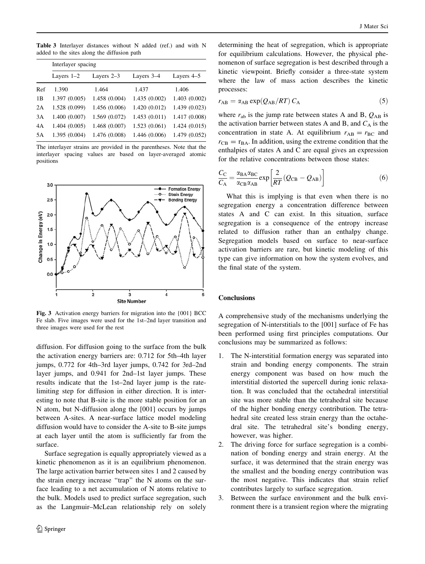<span id="page-5-0"></span>Table 3 Interlayer distances without N added (ref.) and with N added to the sites along the diffusion path

|     | Interlayer spacing |               |               |               |  |
|-----|--------------------|---------------|---------------|---------------|--|
|     | Layers $1-2$       | Layers $2-3$  | Layers 3–4    | Layers 4–5    |  |
| Ref | 1.390              | 1.464         | 1.437         | 1.406         |  |
| 1B  | 1.397 (0.005)      | 1.458 (0.004) | 1.435(0.002)  | 1.403(0.002)  |  |
| 2A  | 1.528 (0.099)      | 1.456 (0.006) | 1.420(0.012)  | 1.439 (0.023) |  |
| 3A  | 1.400(0.007)       | 1.569 (0.072) | 1.453(0.011)  | 1.417 (0.008) |  |
| 4A  | 1.404(0.005)       | 1.468 (0.007) | 1.523(0.061)  | 1.424(0.015)  |  |
| 5A  | 1.395 (0.004)      | 1.476 (0.008) | 1.446 (0.006) | 1.479 (0.052) |  |

The interlayer strains are provided in the parentheses. Note that the interlayer spacing values are based on layer-averaged atomic positions



Fig. 3 Activation energy barriers for migration into the {001} BCC Fe slab. Five images were used for the 1st–2nd layer transition and three images were used for the rest

diffusion. For diffusion going to the surface from the bulk the activation energy barriers are: 0.712 for 5th–4th layer jumps, 0.772 for 4th–3rd layer jumps, 0.742 for 3rd–2nd layer jumps, and 0.941 for 2nd–1st layer jumps. These results indicate that the 1st–2nd layer jump is the ratelimiting step for diffusion in either direction. It is interesting to note that B-site is the more stable position for an N atom, but N-diffusion along the [001] occurs by jumps between A-sites. A near-surface lattice model modeling diffusion would have to consider the A-site to B-site jumps at each layer until the atom is sufficiently far from the surface.

Surface segregation is equally appropriately viewed as a kinetic phenomenon as it is an equilibrium phenomenon. The large activation barrier between sites 1 and 2 caused by the strain energy increase ''trap'' the N atoms on the surface leading to a net accumulation of N atoms relative to the bulk. Models used to predict surface segregation, such as the Langmuir–McLean relationship rely on solely determining the heat of segregation, which is appropriate for equilibrium calculations. However, the physical phenomenon of surface segregation is best described through a kinetic viewpoint. Briefly consider a three-state system where the law of mass action describes the kinetic processes:

$$
r_{AB} = \alpha_{AB} \exp(Q_{AB}/RT) C_A \tag{5}
$$

where  $r_{ab}$  is the jump rate between states A and B,  $Q_{AB}$  is the activation barrier between states A and B, and  $C_A$  is the concentration in state A. At equilibrium  $r_{AB} = r_{BC}$  and  $r_{CB} = r_{BA}$ . In addition, using the extreme condition that the enthalpies of states A and C are equal gives an expression for the relative concentrations between those states:

$$
\frac{C_{\rm C}}{C_{\rm A}} = \frac{\alpha_{\rm BA} \alpha_{\rm BC}}{\alpha_{\rm CB} \alpha_{\rm AB}} \exp\left[\frac{2}{RT} (Q_{\rm CB} - Q_{\rm AB})\right]
$$
(6)

What this is implying is that even when there is no segregation energy a concentration difference between states A and C can exist. In this situation, surface segregation is a consequence of the entropy increase related to diffusion rather than an enthalpy change. Segregation models based on surface to near-surface activation barriers are rare, but kinetic modeling of this type can give information on how the system evolves, and the final state of the system.

### **Conclusions**

A comprehensive study of the mechanisms underlying the segregation of N-interstitials to the [001] surface of Fe has been performed using first principles computations. Our conclusions may be summarized as follows:

- 1. The N-interstitial formation energy was separated into strain and bonding energy components. The strain energy component was based on how much the interstitial distorted the supercell during ionic relaxation. It was concluded that the octahedral interstitial site was more stable than the tetrahedral site because of the higher bonding energy contribution. The tetrahedral site created less strain energy than the octahedral site. The tetrahedral site's bonding energy, however, was higher.
- 2. The driving force for surface segregation is a combination of bonding energy and strain energy. At the surface, it was determined that the strain energy was the smallest and the bonding energy contribution was the most negative. This indicates that strain relief contributes largely to surface segregation.
- 3. Between the surface environment and the bulk environment there is a transient region where the migrating